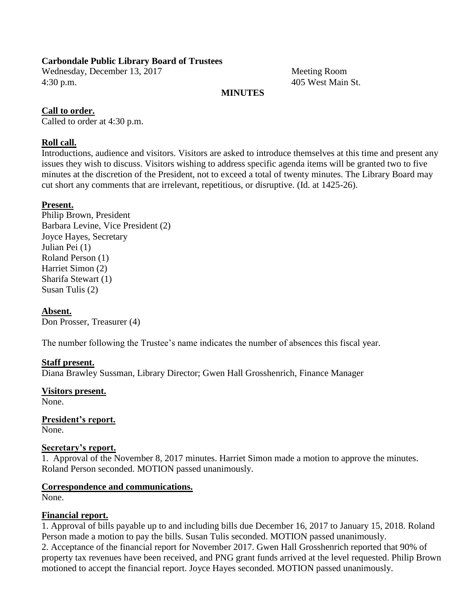## **Carbondale Public Library Board of Trustees**

Wednesday, December 13, 2017 Meeting Room 4:30 p.m. 405 West Main St.

## **MINUTES**

## **Call to order.**

Called to order at 4:30 p.m.

## **Roll call.**

Introductions, audience and visitors. Visitors are asked to introduce themselves at this time and present any issues they wish to discuss. Visitors wishing to address specific agenda items will be granted two to five minutes at the discretion of the President, not to exceed a total of twenty minutes. The Library Board may cut short any comments that are irrelevant, repetitious, or disruptive. (Id. at 1425-26).

## **Present.**

Philip Brown, President Barbara Levine, Vice President (2) Joyce Hayes, Secretary Julian Pei (1) Roland Person (1) Harriet Simon (2) Sharifa Stewart (1) Susan Tulis (2)

## **Absent.**

Don Prosser, Treasurer (4)

The number following the Trustee's name indicates the number of absences this fiscal year.

## **Staff present.**

Diana Brawley Sussman, Library Director; Gwen Hall Grosshenrich, Finance Manager

## **Visitors present.**

None.

**President's report.** None.

## **Secretary's report.**

1. Approval of the November 8, 2017 minutes. Harriet Simon made a motion to approve the minutes. Roland Person seconded. MOTION passed unanimously.

## **Correspondence and communications.**

None.

## **Financial report.**

1. Approval of bills payable up to and including bills due December 16, 2017 to January 15, 2018. Roland Person made a motion to pay the bills. Susan Tulis seconded. MOTION passed unanimously.

2. Acceptance of the financial report for November 2017. Gwen Hall Grosshenrich reported that 90% of property tax revenues have been received, and PNG grant funds arrived at the level requested. Philip Brown motioned to accept the financial report. Joyce Hayes seconded. MOTION passed unanimously.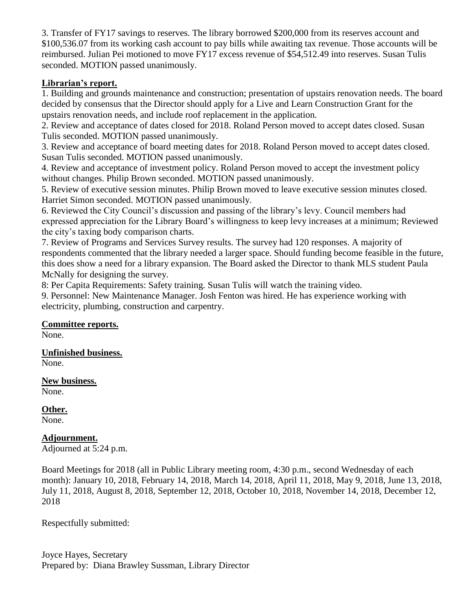3. Transfer of FY17 savings to reserves. The library borrowed \$200,000 from its reserves account and \$100,536.07 from its working cash account to pay bills while awaiting tax revenue. Those accounts will be reimbursed. Julian Pei motioned to move FY17 excess revenue of \$54,512.49 into reserves. Susan Tulis seconded. MOTION passed unanimously.

## **Librarian's report.**

1. Building and grounds maintenance and construction; presentation of upstairs renovation needs. The board decided by consensus that the Director should apply for a Live and Learn Construction Grant for the upstairs renovation needs, and include roof replacement in the application.

2. Review and acceptance of dates closed for 2018. Roland Person moved to accept dates closed. Susan Tulis seconded. MOTION passed unanimously.

3. Review and acceptance of board meeting dates for 2018. Roland Person moved to accept dates closed. Susan Tulis seconded. MOTION passed unanimously.

4. Review and acceptance of investment policy. Roland Person moved to accept the investment policy without changes. Philip Brown seconded. MOTION passed unanimously.

5. Review of executive session minutes. Philip Brown moved to leave executive session minutes closed. Harriet Simon seconded. MOTION passed unanimously.

6. Reviewed the City Council's discussion and passing of the library's levy. Council members had expressed appreciation for the Library Board's willingness to keep levy increases at a minimum; Reviewed the city's taxing body comparison charts.

7. Review of Programs and Services Survey results. The survey had 120 responses. A majority of respondents commented that the library needed a larger space. Should funding become feasible in the future, this does show a need for a library expansion. The Board asked the Director to thank MLS student Paula McNally for designing the survey.

8: Per Capita Requirements: Safety training. Susan Tulis will watch the training video.

9. Personnel: New Maintenance Manager. Josh Fenton was hired. He has experience working with electricity, plumbing, construction and carpentry.

## **Committee reports.**

None.

**Unfinished business.** None.

**New business.** None.

**Other.**

None.

**Adjournment.**

Adjourned at 5:24 p.m.

Board Meetings for 2018 (all in Public Library meeting room, 4:30 p.m., second Wednesday of each month): January 10, 2018, February 14, 2018, March 14, 2018, April 11, 2018, May 9, 2018, June 13, 2018, July 11, 2018, August 8, 2018, September 12, 2018, October 10, 2018, November 14, 2018, December 12, 2018

Respectfully submitted:

Joyce Hayes, Secretary Prepared by: Diana Brawley Sussman, Library Director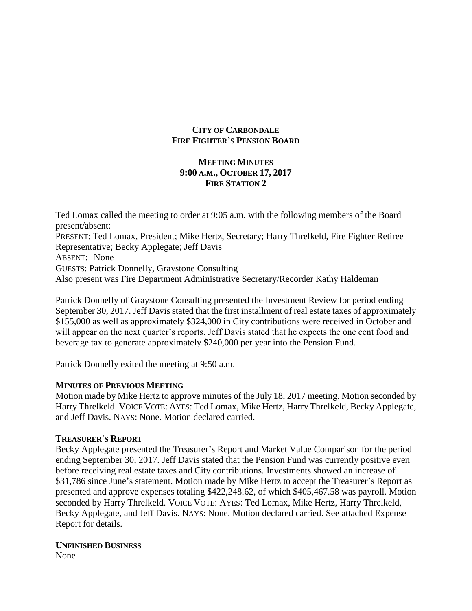## **CITY OF CARBONDALE FIRE FIGHTER'S PENSION BOARD**

## **MEETING MINUTES 9:00 A.M., OCTOBER 17, 2017 FIRE STATION 2**

Ted Lomax called the meeting to order at 9:05 a.m. with the following members of the Board present/absent: PRESENT: Ted Lomax, President; Mike Hertz, Secretary; Harry Threlkeld, Fire Fighter Retiree Representative; Becky Applegate; Jeff Davis ABSENT: None GUESTS: Patrick Donnelly, Graystone Consulting Also present was Fire Department Administrative Secretary/Recorder Kathy Haldeman

Patrick Donnelly of Graystone Consulting presented the Investment Review for period ending September 30, 2017. Jeff Davis stated that the first installment of real estate taxes of approximately \$155,000 as well as approximately \$324,000 in City contributions were received in October and will appear on the next quarter's reports. Jeff Davis stated that he expects the one cent food and beverage tax to generate approximately \$240,000 per year into the Pension Fund.

Patrick Donnelly exited the meeting at 9:50 a.m.

## **MINUTES OF PREVIOUS MEETING**

Motion made by Mike Hertz to approve minutes of the July 18, 2017 meeting. Motion seconded by Harry Threlkeld. VOICE VOTE: AYES: Ted Lomax, Mike Hertz, Harry Threlkeld, Becky Applegate, and Jeff Davis. NAYS: None. Motion declared carried.

## **TREASURER'S REPORT**

Becky Applegate presented the Treasurer's Report and Market Value Comparison for the period ending September 30, 2017. Jeff Davis stated that the Pension Fund was currently positive even before receiving real estate taxes and City contributions. Investments showed an increase of \$31,786 since June's statement. Motion made by Mike Hertz to accept the Treasurer's Report as presented and approve expenses totaling \$422,248.62, of which \$405,467.58 was payroll. Motion seconded by Harry Threlkeld. VOICE VOTE: AYES: Ted Lomax, Mike Hertz, Harry Threlkeld, Becky Applegate, and Jeff Davis. NAYS: None. Motion declared carried. See attached Expense Report for details.

## **UNFINISHED BUSINESS**

None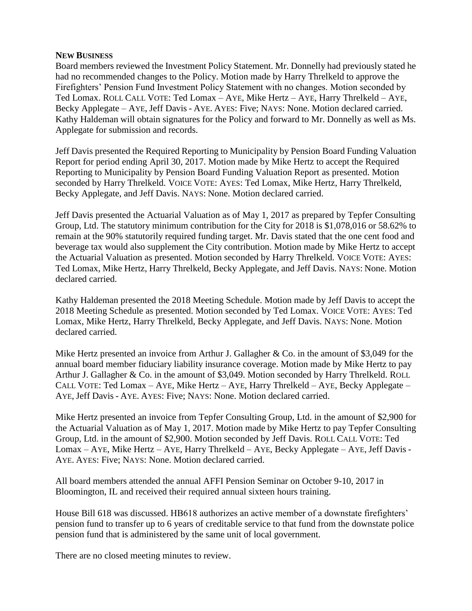## **NEW BUSINESS**

Board members reviewed the Investment Policy Statement. Mr. Donnelly had previously stated he had no recommended changes to the Policy. Motion made by Harry Threlkeld to approve the Firefighters' Pension Fund Investment Policy Statement with no changes. Motion seconded by Ted Lomax. ROLL CALL VOTE: Ted Lomax – AYE, Mike Hertz – AYE, Harry Threlkeld – AYE, Becky Applegate – AYE, Jeff Davis - AYE. AYES: Five; NAYS: None. Motion declared carried. Kathy Haldeman will obtain signatures for the Policy and forward to Mr. Donnelly as well as Ms. Applegate for submission and records.

Jeff Davis presented the Required Reporting to Municipality by Pension Board Funding Valuation Report for period ending April 30, 2017. Motion made by Mike Hertz to accept the Required Reporting to Municipality by Pension Board Funding Valuation Report as presented. Motion seconded by Harry Threlkeld. VOICE VOTE: AYES: Ted Lomax, Mike Hertz, Harry Threlkeld, Becky Applegate, and Jeff Davis. NAYS: None. Motion declared carried.

Jeff Davis presented the Actuarial Valuation as of May 1, 2017 as prepared by Tepfer Consulting Group, Ltd. The statutory minimum contribution for the City for 2018 is \$1,078,016 or 58.62% to remain at the 90% statutorily required funding target. Mr. Davis stated that the one cent food and beverage tax would also supplement the City contribution. Motion made by Mike Hertz to accept the Actuarial Valuation as presented. Motion seconded by Harry Threlkeld. VOICE VOTE: AYES: Ted Lomax, Mike Hertz, Harry Threlkeld, Becky Applegate, and Jeff Davis. NAYS: None. Motion declared carried.

Kathy Haldeman presented the 2018 Meeting Schedule. Motion made by Jeff Davis to accept the 2018 Meeting Schedule as presented. Motion seconded by Ted Lomax. VOICE VOTE: AYES: Ted Lomax, Mike Hertz, Harry Threlkeld, Becky Applegate, and Jeff Davis. NAYS: None. Motion declared carried.

Mike Hertz presented an invoice from Arthur J. Gallagher & Co. in the amount of \$3,049 for the annual board member fiduciary liability insurance coverage. Motion made by Mike Hertz to pay Arthur J. Gallagher & Co. in the amount of \$3,049. Motion seconded by Harry Threlkeld. ROLL CALL VOTE: Ted Lomax – AYE, Mike Hertz – AYE, Harry Threlkeld – AYE, Becky Applegate – AYE, Jeff Davis - AYE. AYES: Five; NAYS: None. Motion declared carried.

Mike Hertz presented an invoice from Tepfer Consulting Group, Ltd. in the amount of \$2,900 for the Actuarial Valuation as of May 1, 2017. Motion made by Mike Hertz to pay Tepfer Consulting Group, Ltd. in the amount of \$2,900. Motion seconded by Jeff Davis. ROLL CALL VOTE: Ted Lomax – AYE, Mike Hertz – AYE, Harry Threlkeld – AYE, Becky Applegate – AYE, Jeff Davis - AYE. AYES: Five; NAYS: None. Motion declared carried.

All board members attended the annual AFFI Pension Seminar on October 9-10, 2017 in Bloomington, IL and received their required annual sixteen hours training.

House Bill 618 was discussed. HB618 authorizes an active member of a downstate firefighters' pension fund to transfer up to 6 years of creditable service to that fund from the downstate police pension fund that is administered by the same unit of local government.

There are no closed meeting minutes to review.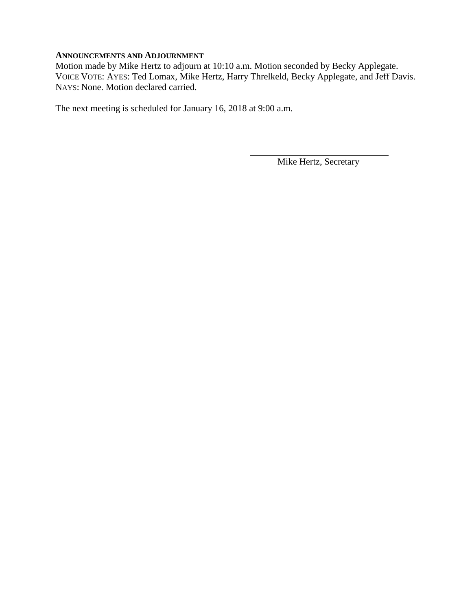## **ANNOUNCEMENTS AND ADJOURNMENT**

Motion made by Mike Hertz to adjourn at 10:10 a.m. Motion seconded by Becky Applegate. VOICE VOTE: AYES: Ted Lomax, Mike Hertz, Harry Threlkeld, Becky Applegate, and Jeff Davis. NAYS: None. Motion declared carried.

The next meeting is scheduled for January 16, 2018 at 9:00 a.m.

Mike Hertz, Secretary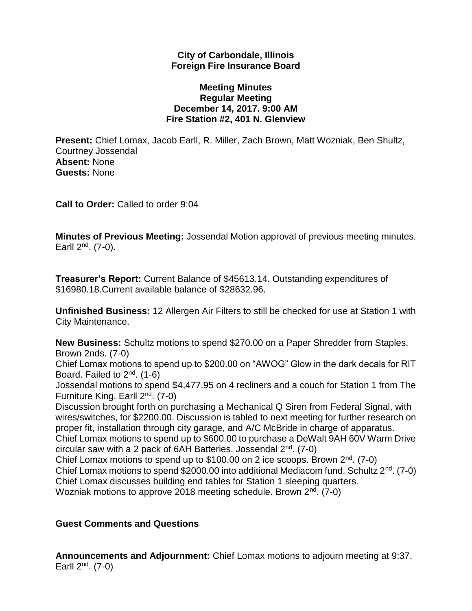## **City of Carbondale, Illinois Foreign Fire Insurance Board**

## **Meeting Minutes Regular Meeting December 14, 2017. 9:00 AM Fire Station #2, 401 N. Glenview**

**Present:** Chief Lomax, Jacob Earll, R. Miller, Zach Brown, Matt Wozniak, Ben Shultz, Courtney Jossendal **Absent:** None **Guests:** None

**Call to Order:** Called to order 9:04

**Minutes of Previous Meeting:** Jossendal Motion approval of previous meeting minutes. Earll  $2^{nd}$ . (7-0).

**Treasurer's Report:** Current Balance of \$45613.14. Outstanding expenditures of \$16980.18.Current available balance of \$28632.96.

**Unfinished Business:** 12 Allergen Air Filters to still be checked for use at Station 1 with City Maintenance.

**New Business:** Schultz motions to spend \$270.00 on a Paper Shredder from Staples. Brown 2nds. (7-0)

Chief Lomax motions to spend up to \$200.00 on "AWOG" Glow in the dark decals for RIT Board. Failed to 2nd. (1-6)

Jossendal motions to spend \$4,477.95 on 4 recliners and a couch for Station 1 from The Furniture King. Earll 2nd. (7-0)

Discussion brought forth on purchasing a Mechanical Q Siren from Federal Signal, with wires/switches, for \$2200.00. Discussion is tabled to next meeting for further research on proper fit, installation through city garage, and A/C McBride in charge of apparatus.

Chief Lomax motions to spend up to \$600.00 to purchase a DeWalt 9AH 60V Warm Drive circular saw with a 2 pack of 6AH Batteries. Jossendal  $2<sup>nd</sup>$ . (7-0)

Chief Lomax motions to spend up to \$100.00 on 2 ice scoops. Brown  $2^{nd}$ . (7-0) Chief Lomax motions to spend \$2000.00 into additional Mediacom fund. Schultz  $2^{nd}$ . (7-0) Chief Lomax discusses building end tables for Station 1 sleeping quarters. Wozniak motions to approve 2018 meeting schedule. Brown 2<sup>nd</sup>. (7-0)

## **Guest Comments and Questions**

**Announcements and Adjournment:** Chief Lomax motions to adjourn meeting at 9:37. Earll  $2^{nd}$ . (7-0)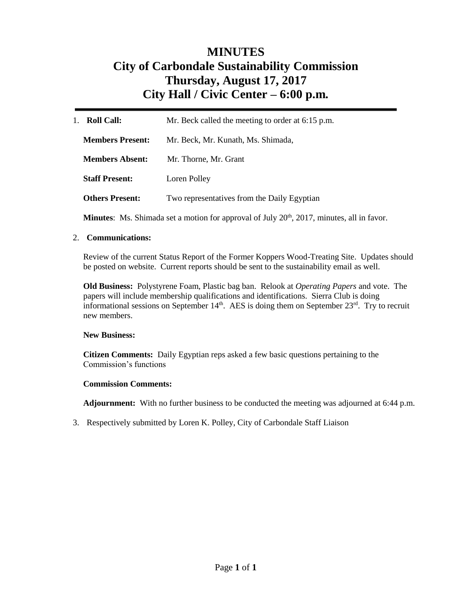# **MINUTES City of Carbondale Sustainability Commission Thursday, August 17, 2017 City Hall / Civic Center – 6:00 p.m***.*

| <b>Roll Call:</b><br>1. | Mr. Beck called the meeting to order at 6:15 p.m. |
|-------------------------|---------------------------------------------------|
| <b>Members Present:</b> | Mr. Beck, Mr. Kunath, Ms. Shimada,                |
| <b>Members Absent:</b>  | Mr. Thorne, Mr. Grant                             |
| <b>Staff Present:</b>   | Loren Polley                                      |
| <b>Others Present:</b>  | Two representatives from the Daily Egyptian       |

**Minutes**: Ms. Shimada set a motion for approval of July 20<sup>th</sup>, 2017, minutes, all in favor.

### 2. **Communications:**

Review of the current Status Report of the Former Koppers Wood-Treating Site. Updates should be posted on website. Current reports should be sent to the sustainability email as well.

**Old Business:** Polystyrene Foam, Plastic bag ban. Relook at *Operating Papers* and vote. The papers will include membership qualifications and identifications. Sierra Club is doing informational sessions on September  $14<sup>th</sup>$ . AES is doing them on September  $23<sup>rd</sup>$ . Try to recruit new members.

### **New Business:**

**Citizen Comments:** Daily Egyptian reps asked a few basic questions pertaining to the Commission's functions

### **Commission Comments:**

**Adjournment:** With no further business to be conducted the meeting was adjourned at 6:44 p.m.

3. Respectively submitted by Loren K. Polley, City of Carbondale Staff Liaison